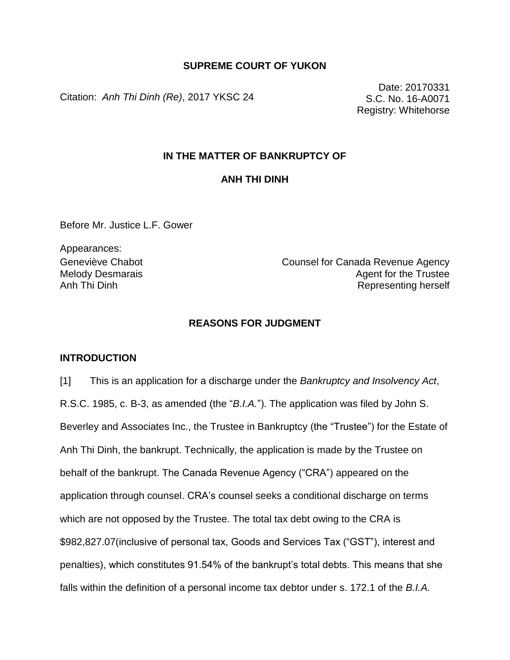### **SUPREME COURT OF YUKON**

Citation: *Anh Thi Dinh (Re)*, 2017 YKSC 24

Date: 20170331 S.C. No. 16-A0071 Registry: Whitehorse

### **IN THE MATTER OF BANKRUPTCY OF**

### **ANH THI DINH**

Before Mr. Justice L.F. Gower

Appearances: Melody Desmarais Anh Thi Dinh

Geneviève Chabot Counsel for Canada Revenue Agency Agent for the Trustee Representing herself

### **REASONS FOR JUDGMENT**

#### **INTRODUCTION**

[1] This is an application for a discharge under the *Bankruptcy and Insolvency Act*, R.S.C. 1985, c. B-3, as amended (the "*B.I.A.*"). The application was filed by John S. Beverley and Associates Inc., the Trustee in Bankruptcy (the "Trustee") for the Estate of Anh Thi Dinh, the bankrupt. Technically, the application is made by the Trustee on behalf of the bankrupt. The Canada Revenue Agency ("CRA") appeared on the application through counsel. CRA's counsel seeks a conditional discharge on terms which are not opposed by the Trustee. The total tax debt owing to the CRA is \$982,827.07(inclusive of personal tax, Goods and Services Tax ("GST"), interest and penalties), which constitutes 91.54% of the bankrupt's total debts. This means that she falls within the definition of a personal income tax debtor under s. 172.1 of the *B.I.A.*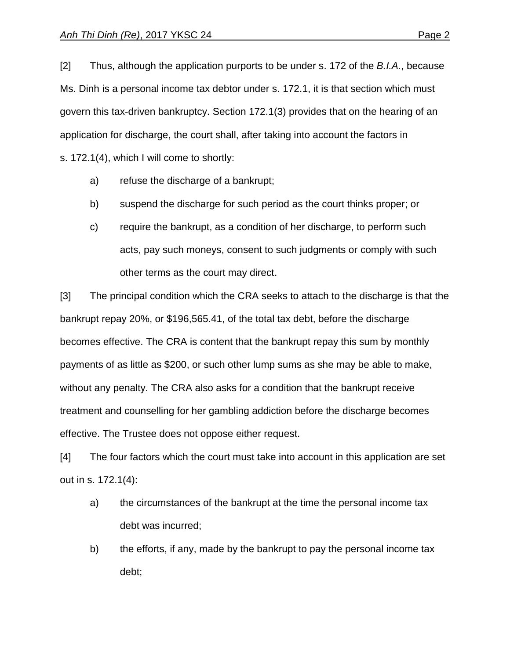[2] Thus, although the application purports to be under s. 172 of the *B.I.A.*, because Ms. Dinh is a personal income tax debtor under s. 172.1, it is that section which must govern this tax-driven bankruptcy. Section 172.1(3) provides that on the hearing of an application for discharge, the court shall, after taking into account the factors in s. 172.1(4), which I will come to shortly:

- a) refuse the discharge of a bankrupt;
- b) suspend the discharge for such period as the court thinks proper; or
- c) require the bankrupt, as a condition of her discharge, to perform such acts, pay such moneys, consent to such judgments or comply with such other terms as the court may direct.

[3] The principal condition which the CRA seeks to attach to the discharge is that the bankrupt repay 20%, or \$196,565.41, of the total tax debt, before the discharge becomes effective. The CRA is content that the bankrupt repay this sum by monthly payments of as little as \$200, or such other lump sums as she may be able to make, without any penalty. The CRA also asks for a condition that the bankrupt receive treatment and counselling for her gambling addiction before the discharge becomes effective. The Trustee does not oppose either request.

[4] The four factors which the court must take into account in this application are set out in s. 172.1(4):

- a) the circumstances of the bankrupt at the time the personal income tax debt was incurred;
- b) the efforts, if any, made by the bankrupt to pay the personal income tax debt;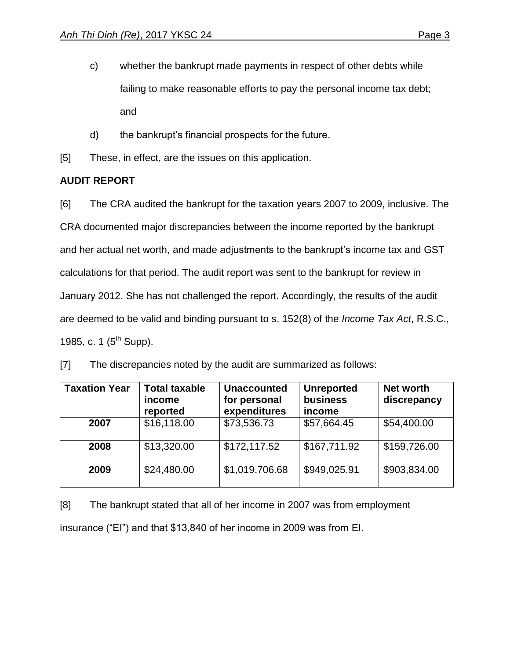- c) whether the bankrupt made payments in respect of other debts while failing to make reasonable efforts to pay the personal income tax debt; and
- d) the bankrupt's financial prospects for the future.
- [5] These, in effect, are the issues on this application.

# **AUDIT REPORT**

[6] The CRA audited the bankrupt for the taxation years 2007 to 2009, inclusive. The CRA documented major discrepancies between the income reported by the bankrupt and her actual net worth, and made adjustments to the bankrupt's income tax and GST calculations for that period. The audit report was sent to the bankrupt for review in January 2012. She has not challenged the report. Accordingly, the results of the audit are deemed to be valid and binding pursuant to s. 152(8) of the *Income Tax Act*, R.S.C., 1985, c. 1  $(5^{th}$  Supp).

| <b>Taxation Year</b> | <b>Total taxable</b><br>income<br>reported | <b>Unaccounted</b><br>for personal<br>expenditures | <b>Unreported</b><br><b>business</b><br><i>income</i> | Net worth<br>discrepancy |
|----------------------|--------------------------------------------|----------------------------------------------------|-------------------------------------------------------|--------------------------|
| 2007                 | \$16,118.00                                | \$73,536.73                                        | \$57,664.45                                           | \$54,400.00              |
| 2008                 | \$13,320.00                                | \$172,117.52                                       | \$167,711.92                                          | \$159,726.00             |
| 2009                 | \$24,480.00                                | \$1,019,706.68                                     | \$949,025.91                                          | \$903,834.00             |

[7] The discrepancies noted by the audit are summarized as follows:

[8] The bankrupt stated that all of her income in 2007 was from employment insurance ("EI") and that \$13,840 of her income in 2009 was from EI.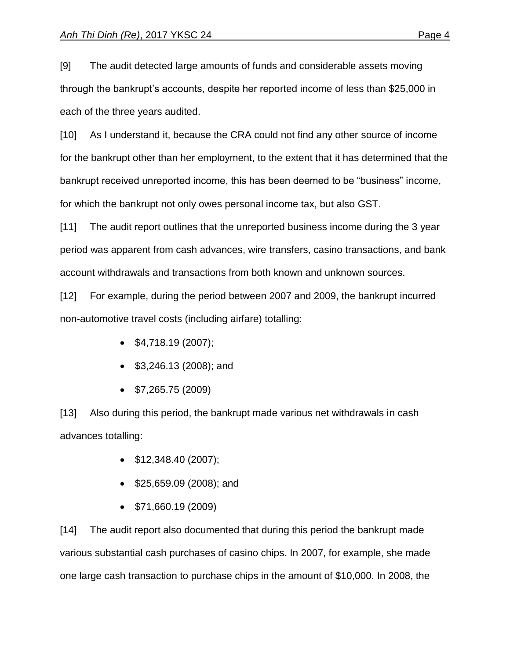[9] The audit detected large amounts of funds and considerable assets moving through the bankrupt's accounts, despite her reported income of less than \$25,000 in each of the three years audited.

[10] As I understand it, because the CRA could not find any other source of income for the bankrupt other than her employment, to the extent that it has determined that the bankrupt received unreported income, this has been deemed to be "business" income, for which the bankrupt not only owes personal income tax, but also GST.

[11] The audit report outlines that the unreported business income during the 3 year period was apparent from cash advances, wire transfers, casino transactions, and bank account withdrawals and transactions from both known and unknown sources.

[12] For example, during the period between 2007 and 2009, the bankrupt incurred non-automotive travel costs (including airfare) totalling:

- $\bullet$  \$4,718.19 (2007);
- \$3,246.13 (2008); and
- $\bullet$  \$7,265.75 (2009)

[13] Also during this period, the bankrupt made various net withdrawals in cash advances totalling:

- \$12,348.40 (2007);
- **\$25,659.09 (2008); and**
- \$71,660.19 (2009)

[14] The audit report also documented that during this period the bankrupt made various substantial cash purchases of casino chips. In 2007, for example, she made one large cash transaction to purchase chips in the amount of \$10,000. In 2008, the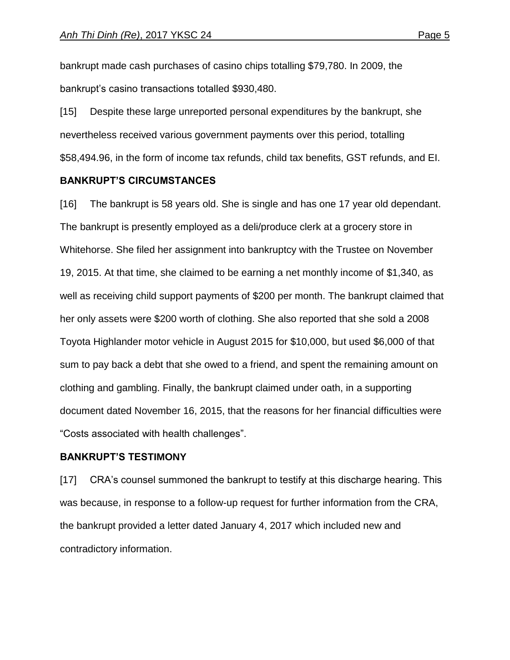bankrupt made cash purchases of casino chips totalling \$79,780. In 2009, the bankrupt's casino transactions totalled \$930,480.

[15] Despite these large unreported personal expenditures by the bankrupt, she nevertheless received various government payments over this period, totalling \$58,494.96, in the form of income tax refunds, child tax benefits, GST refunds, and EI.

#### **BANKRUPT'S CIRCUMSTANCES**

[16] The bankrupt is 58 years old. She is single and has one 17 year old dependant. The bankrupt is presently employed as a deli/produce clerk at a grocery store in Whitehorse. She filed her assignment into bankruptcy with the Trustee on November 19, 2015. At that time, she claimed to be earning a net monthly income of \$1,340, as well as receiving child support payments of \$200 per month. The bankrupt claimed that her only assets were \$200 worth of clothing. She also reported that she sold a 2008 Toyota Highlander motor vehicle in August 2015 for \$10,000, but used \$6,000 of that sum to pay back a debt that she owed to a friend, and spent the remaining amount on clothing and gambling. Finally, the bankrupt claimed under oath, in a supporting document dated November 16, 2015, that the reasons for her financial difficulties were "Costs associated with health challenges".

#### **BANKRUPT'S TESTIMONY**

[17] CRA's counsel summoned the bankrupt to testify at this discharge hearing. This was because, in response to a follow-up request for further information from the CRA, the bankrupt provided a letter dated January 4, 2017 which included new and contradictory information.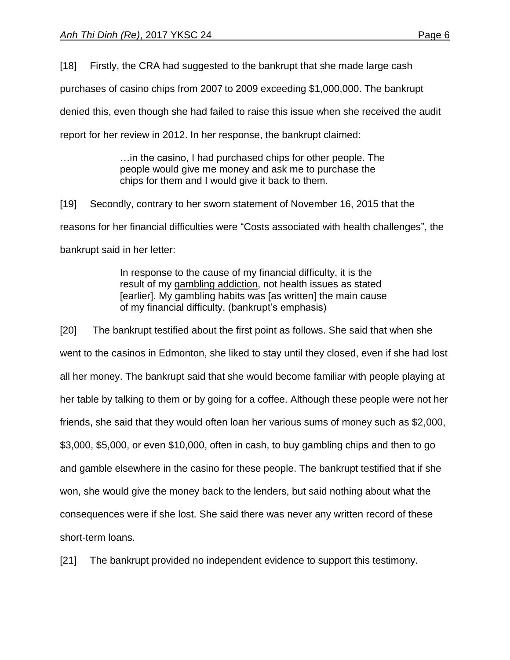[18] Firstly, the CRA had suggested to the bankrupt that she made large cash

purchases of casino chips from 2007 to 2009 exceeding \$1,000,000. The bankrupt

denied this, even though she had failed to raise this issue when she received the audit

report for her review in 2012. In her response, the bankrupt claimed:

…in the casino, I had purchased chips for other people. The people would give me money and ask me to purchase the chips for them and I would give it back to them.

[19] Secondly, contrary to her sworn statement of November 16, 2015 that the reasons for her financial difficulties were "Costs associated with health challenges", the bankrupt said in her letter:

> In response to the cause of my financial difficulty, it is the result of my gambling addiction, not health issues as stated [earlier]. My gambling habits was [as written] the main cause of my financial difficulty. (bankrupt's emphasis)

[20] The bankrupt testified about the first point as follows. She said that when she went to the casinos in Edmonton, she liked to stay until they closed, even if she had lost all her money. The bankrupt said that she would become familiar with people playing at her table by talking to them or by going for a coffee. Although these people were not her friends, she said that they would often loan her various sums of money such as \$2,000, \$3,000, \$5,000, or even \$10,000, often in cash, to buy gambling chips and then to go and gamble elsewhere in the casino for these people. The bankrupt testified that if she won, she would give the money back to the lenders, but said nothing about what the consequences were if she lost. She said there was never any written record of these short-term loans.

[21] The bankrupt provided no independent evidence to support this testimony.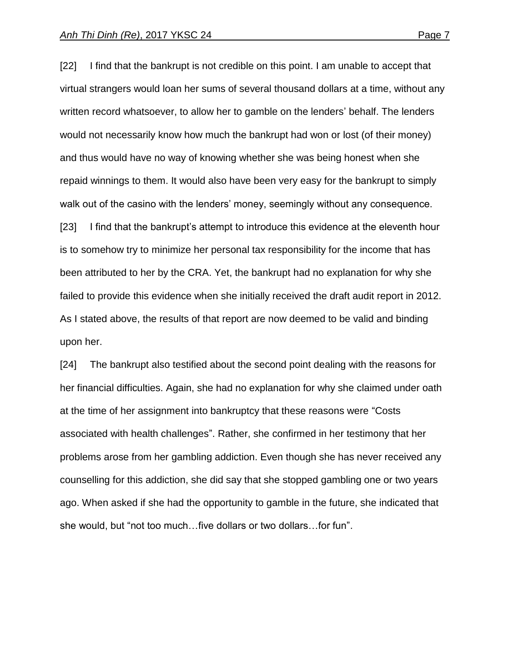[22] I find that the bankrupt is not credible on this point. I am unable to accept that virtual strangers would loan her sums of several thousand dollars at a time, without any written record whatsoever, to allow her to gamble on the lenders' behalf. The lenders would not necessarily know how much the bankrupt had won or lost (of their money) and thus would have no way of knowing whether she was being honest when she repaid winnings to them. It would also have been very easy for the bankrupt to simply walk out of the casino with the lenders' money, seemingly without any consequence. [23] I find that the bankrupt's attempt to introduce this evidence at the eleventh hour is to somehow try to minimize her personal tax responsibility for the income that has been attributed to her by the CRA. Yet, the bankrupt had no explanation for why she failed to provide this evidence when she initially received the draft audit report in 2012. As I stated above, the results of that report are now deemed to be valid and binding upon her.

[24] The bankrupt also testified about the second point dealing with the reasons for her financial difficulties. Again, she had no explanation for why she claimed under oath at the time of her assignment into bankruptcy that these reasons were "Costs associated with health challenges". Rather, she confirmed in her testimony that her problems arose from her gambling addiction. Even though she has never received any counselling for this addiction, she did say that she stopped gambling one or two years ago. When asked if she had the opportunity to gamble in the future, she indicated that she would, but "not too much…five dollars or two dollars…for fun".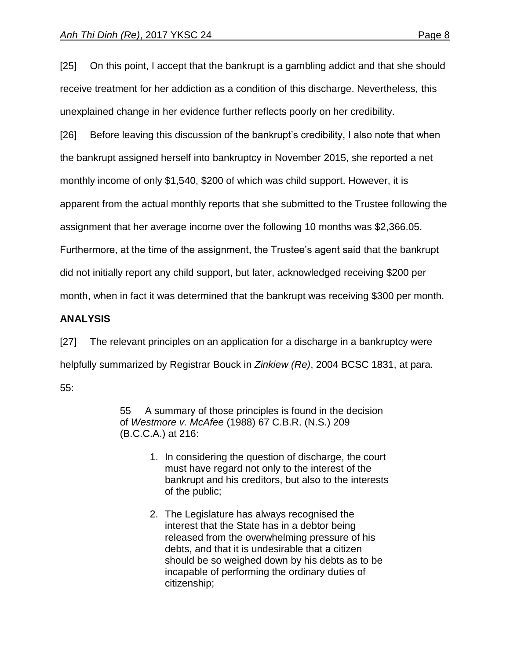[25] On this point, I accept that the bankrupt is a gambling addict and that she should receive treatment for her addiction as a condition of this discharge. Nevertheless, this unexplained change in her evidence further reflects poorly on her credibility.

[26] Before leaving this discussion of the bankrupt's credibility, I also note that when the bankrupt assigned herself into bankruptcy in November 2015, she reported a net

monthly income of only \$1,540, \$200 of which was child support. However, it is

apparent from the actual monthly reports that she submitted to the Trustee following the

assignment that her average income over the following 10 months was \$2,366.05.

Furthermore, at the time of the assignment, the Trustee's agent said that the bankrupt

did not initially report any child support, but later, acknowledged receiving \$200 per

month, when in fact it was determined that the bankrupt was receiving \$300 per month.

# **ANALYSIS**

[27] The relevant principles on an application for a discharge in a bankruptcy were helpfully summarized by Registrar Bouck in *Zinkiew (Re)*, 2004 BCSC 1831, at para. 55:

> 55 A summary of those principles is found in the decision of *Westmore v. McAfee* [\(1988\) 67 C.B.R. \(N.S.\) 209](http://www.lexisnexis.com/ca/legal/search/runRemoteLink.do?A=0.23667960496301987&bct=A&service=citation&risb=21_T25212790768&langcountry=CA&linkInfo=F%23CA%23CBRNS%23vol%2567%25sel1%251988%25page%25209%25year%251988%25sel2%2567%25decisiondate%251988%25) (B.C.C.A.) at 216:

- 1. In considering the question of discharge, the court must have regard not only to the interest of the bankrupt and his creditors, but also to the interests of the public;
- 2. The Legislature has always recognised the interest that the State has in a debtor being released from the overwhelming pressure of his debts, and that it is undesirable that a citizen should be so weighed down by his debts as to be incapable of performing the ordinary duties of citizenship;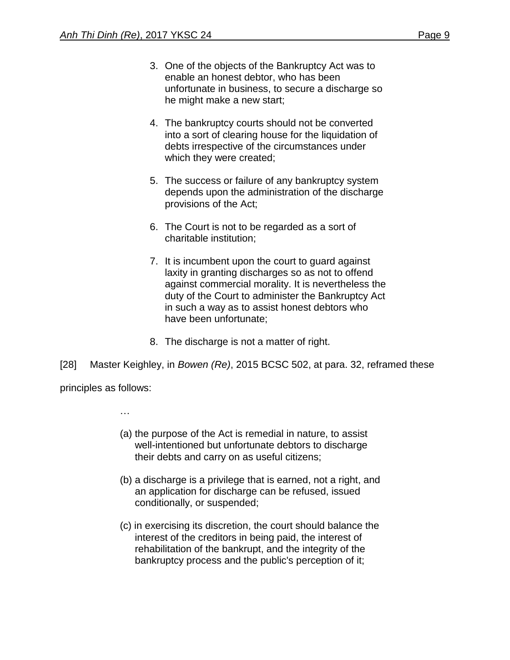- 3. One of the objects of the Bankruptcy Act was to enable an honest debtor, who has been unfortunate in business, to secure a discharge so he might make a new start;
- 4. The bankruptcy courts should not be converted into a sort of clearing house for the liquidation of debts irrespective of the circumstances under which they were created;
- 5. The success or failure of any bankruptcy system depends upon the administration of the discharge provisions of the Act;
- 6. The Court is not to be regarded as a sort of charitable institution;
- 7. It is incumbent upon the court to guard against laxity in granting discharges so as not to offend against commercial morality. It is nevertheless the duty of the Court to administer the Bankruptcy Act in such a way as to assist honest debtors who have been unfortunate;
- 8. The discharge is not a matter of right.
- [28] Master Keighley, in *Bowen (Re)*, 2015 BCSC 502, at para. 32, reframed these

principles as follows:

…

- (a) the purpose of the Act is remedial in nature, to assist well-intentioned but unfortunate debtors to discharge their debts and carry on as useful citizens;
- (b) a discharge is a privilege that is earned, not a right, and an application for discharge can be refused, issued conditionally, or suspended;
- (c) in exercising its discretion, the court should balance the interest of the creditors in being paid, the interest of rehabilitation of the bankrupt, and the integrity of the bankruptcy process and the public's perception of it;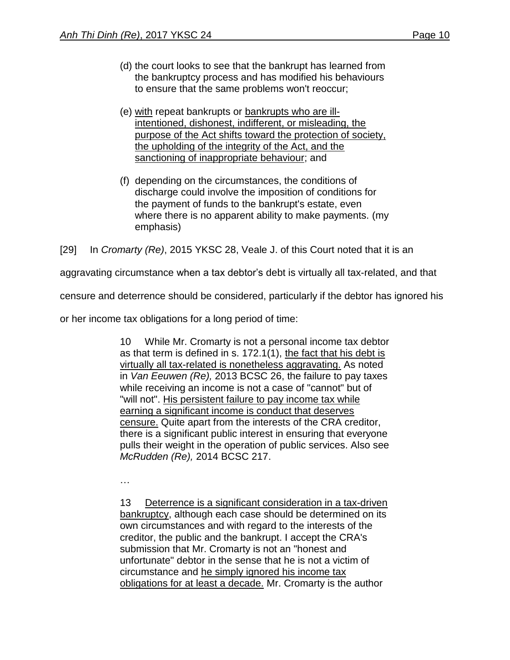- (d) the court looks to see that the bankrupt has learned from the bankruptcy process and has modified his behaviours to ensure that the same problems won't reoccur;
- (e) with repeat bankrupts or bankrupts who are illintentioned, dishonest, indifferent, or misleading, the purpose of the Act shifts toward the protection of society, the upholding of the integrity of the Act, and the sanctioning of inappropriate behaviour; and
- (f) depending on the circumstances, the conditions of discharge could involve the imposition of conditions for the payment of funds to the bankrupt's estate, even where there is no apparent ability to make payments. (my emphasis)

[29] In *Cromarty (Re)*, 2015 YKSC 28, Veale J. of this Court noted that it is an

aggravating circumstance when a tax debtor's debt is virtually all tax-related, and that

censure and deterrence should be considered, particularly if the debtor has ignored his

or her income tax obligations for a long period of time:

10 While Mr. Cromarty is not a personal income tax debtor as that term is defined in s. 172.1(1), the fact that his debt is virtually all tax-related is nonetheless aggravating. As noted in *Van Eeuwen (Re),* [2013 BCSC 26,](http://www.lexisnexis.com/ca/legal/search/runRemoteLink.do?A=0.0799572041414277&bct=A&service=citation&risb=21_T25212836150&langcountry=CA&linkInfo=F%23CA%23BCSC%23sel1%252013%25year%252013%25decisiondate%252013%25onum%2526%25) the failure to pay taxes while receiving an income is not a case of "cannot" but of "will not". His persistent failure to pay income tax while earning a significant income is conduct that deserves censure. Quite apart from the interests of the CRA creditor, there is a significant public interest in ensuring that everyone pulls their weight in the operation of public services. Also see *McRudden (Re),* [2014 BCSC 217.](http://www.lexisnexis.com/ca/legal/search/runRemoteLink.do?A=0.744595376076176&bct=A&service=citation&risb=21_T25212836150&langcountry=CA&linkInfo=F%23CA%23BCSC%23sel1%252014%25year%252014%25decisiondate%252014%25onum%25217%25)

…

13 Deterrence is a significant consideration in a tax-driven bankruptcy, although each case should be determined on its own circumstances and with regard to the interests of the creditor, the public and the bankrupt. I accept the CRA's submission that Mr. Cromarty is not an "honest and unfortunate" debtor in the sense that he is not a victim of circumstance and he simply ignored his income tax obligations for at least a decade. Mr. Cromarty is the author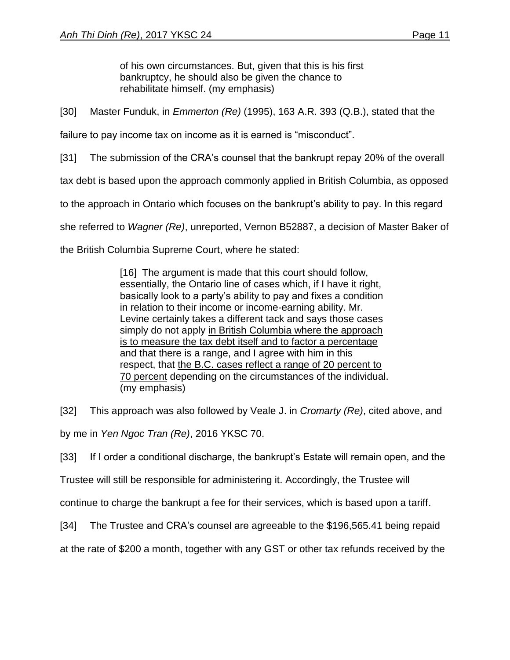of his own circumstances. But, given that this is his first bankruptcy, he should also be given the chance to rehabilitate himself. (my emphasis)

[30] Master Funduk, in *Emmerton (Re)* (1995), 163 A.R. 393 (Q.B.), stated that the

failure to pay income tax on income as it is earned is "misconduct".

[31] The submission of the CRA's counsel that the bankrupt repay 20% of the overall

tax debt is based upon the approach commonly applied in British Columbia, as opposed

to the approach in Ontario which focuses on the bankrupt's ability to pay. In this regard

she referred to *Wagner (Re)*, unreported, Vernon B52887, a decision of Master Baker of

the British Columbia Supreme Court, where he stated:

[16] The argument is made that this court should follow, essentially, the Ontario line of cases which, if I have it right, basically look to a party's ability to pay and fixes a condition in relation to their income or income-earning ability. Mr. Levine certainly takes a different tack and says those cases simply do not apply in British Columbia where the approach is to measure the tax debt itself and to factor a percentage and that there is a range, and I agree with him in this respect, that the B.C. cases reflect a range of 20 percent to 70 percent depending on the circumstances of the individual. (my emphasis)

[32] This approach was also followed by Veale J. in *Cromarty (Re)*, cited above, and by me in *Yen Ngoc Tran (Re)*, 2016 YKSC 70.

[33] If I order a conditional discharge, the bankrupt's Estate will remain open, and the

Trustee will still be responsible for administering it. Accordingly, the Trustee will

continue to charge the bankrupt a fee for their services, which is based upon a tariff.

[34] The Trustee and CRA's counsel are agreeable to the \$196,565.41 being repaid

at the rate of \$200 a month, together with any GST or other tax refunds received by the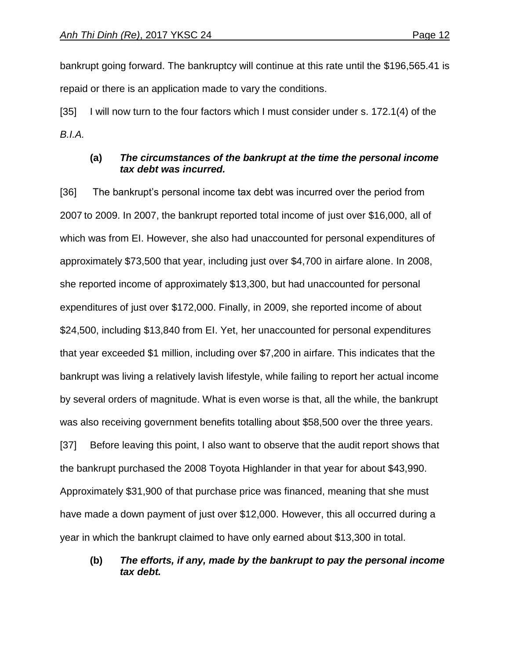bankrupt going forward. The bankruptcy will continue at this rate until the \$196,565.41 is repaid or there is an application made to vary the conditions.

[35] I will now turn to the four factors which I must consider under s. 172.1(4) of the *B.I.A.*

## **(a)** *The circumstances of the bankrupt at the time the personal income tax debt was incurred.*

[36] The bankrupt's personal income tax debt was incurred over the period from 2007 to 2009. In 2007, the bankrupt reported total income of just over \$16,000, all of which was from EI. However, she also had unaccounted for personal expenditures of approximately \$73,500 that year, including just over \$4,700 in airfare alone. In 2008, she reported income of approximately \$13,300, but had unaccounted for personal expenditures of just over \$172,000. Finally, in 2009, she reported income of about \$24,500, including \$13,840 from EI. Yet, her unaccounted for personal expenditures that year exceeded \$1 million, including over \$7,200 in airfare. This indicates that the bankrupt was living a relatively lavish lifestyle, while failing to report her actual income by several orders of magnitude. What is even worse is that, all the while, the bankrupt was also receiving government benefits totalling about \$58,500 over the three years. [37] Before leaving this point, I also want to observe that the audit report shows that

the bankrupt purchased the 2008 Toyota Highlander in that year for about \$43,990. Approximately \$31,900 of that purchase price was financed, meaning that she must have made a down payment of just over \$12,000. However, this all occurred during a year in which the bankrupt claimed to have only earned about \$13,300 in total.

## **(b)** *The efforts, if any, made by the bankrupt to pay the personal income tax debt.*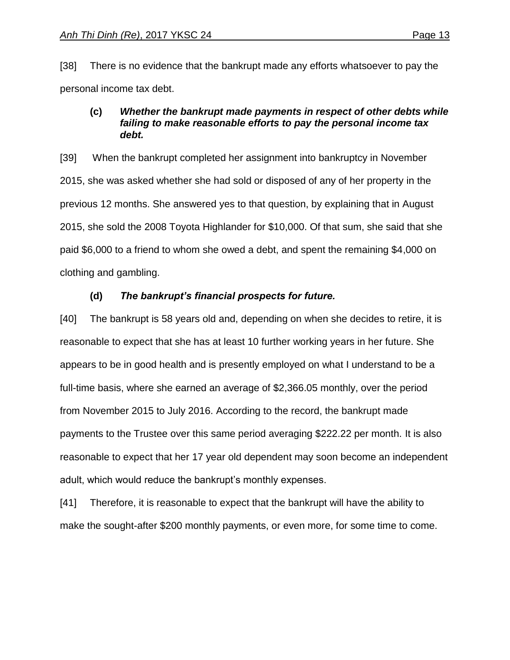[38] There is no evidence that the bankrupt made any efforts whatsoever to pay the personal income tax debt.

## **(c)** *Whether the bankrupt made payments in respect of other debts while failing to make reasonable efforts to pay the personal income tax debt.*

[39] When the bankrupt completed her assignment into bankruptcy in November 2015, she was asked whether she had sold or disposed of any of her property in the previous 12 months. She answered yes to that question, by explaining that in August 2015, she sold the 2008 Toyota Highlander for \$10,000. Of that sum, she said that she paid \$6,000 to a friend to whom she owed a debt, and spent the remaining \$4,000 on clothing and gambling.

# **(d)** *The bankrupt's financial prospects for future.*

[40] The bankrupt is 58 years old and, depending on when she decides to retire, it is reasonable to expect that she has at least 10 further working years in her future. She appears to be in good health and is presently employed on what I understand to be a full-time basis, where she earned an average of \$2,366.05 monthly, over the period from November 2015 to July 2016. According to the record, the bankrupt made payments to the Trustee over this same period averaging \$222.22 per month. It is also reasonable to expect that her 17 year old dependent may soon become an independent adult, which would reduce the bankrupt's monthly expenses.

[41] Therefore, it is reasonable to expect that the bankrupt will have the ability to make the sought-after \$200 monthly payments, or even more, for some time to come.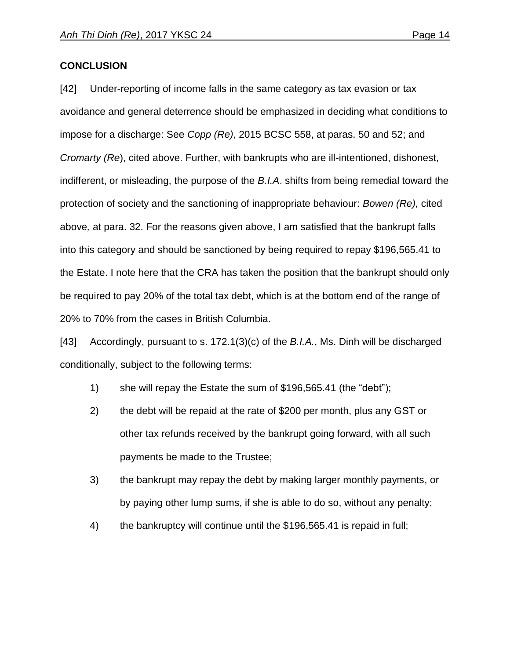## **CONCLUSION**

[42] Under-reporting of income falls in the same category as tax evasion or tax avoidance and general deterrence should be emphasized in deciding what conditions to impose for a discharge: See *Copp (Re)*, 2015 BCSC 558, at paras. 50 and 52; and *Cromarty (Re*), cited above. Further, with bankrupts who are ill-intentioned, dishonest, indifferent, or misleading, the purpose of the *B.I.A*. shifts from being remedial toward the protection of society and the sanctioning of inappropriate behaviour: *Bowen (Re),* cited above*,* at para. 32. For the reasons given above, I am satisfied that the bankrupt falls into this category and should be sanctioned by being required to repay \$196,565.41 to the Estate. I note here that the CRA has taken the position that the bankrupt should only be required to pay 20% of the total tax debt, which is at the bottom end of the range of 20% to 70% from the cases in British Columbia.

[43] Accordingly, pursuant to s. 172.1(3)(c) of the *B.I.A.*, Ms. Dinh will be discharged conditionally, subject to the following terms:

- 1) she will repay the Estate the sum of \$196,565.41 (the "debt");
- 2) the debt will be repaid at the rate of \$200 per month, plus any GST or other tax refunds received by the bankrupt going forward, with all such payments be made to the Trustee;
- 3) the bankrupt may repay the debt by making larger monthly payments, or by paying other lump sums, if she is able to do so, without any penalty;
- 4) the bankruptcy will continue until the \$196,565.41 is repaid in full;